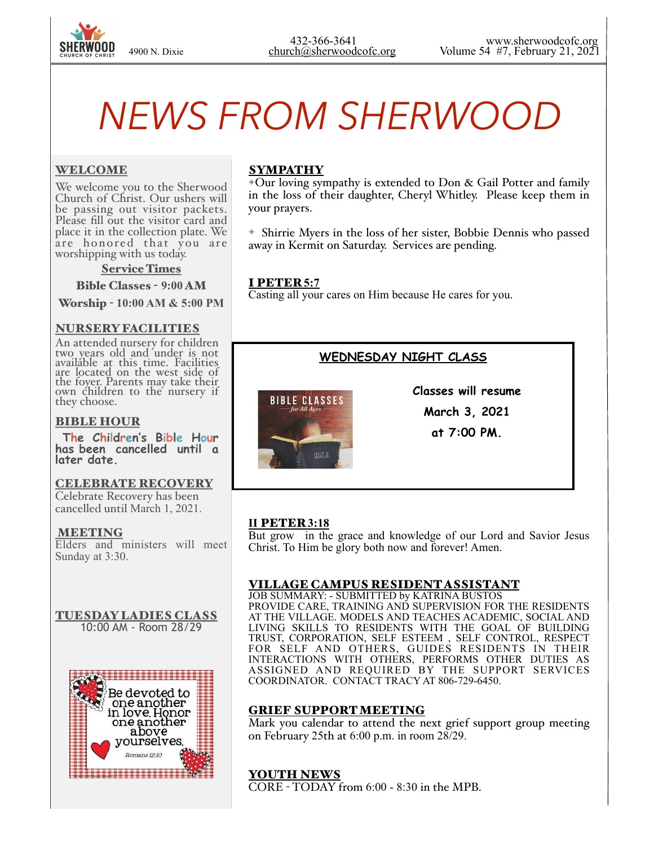

# *NEWS FROM SHERWOOD*

#### WELCOME

We welcome you to the Sherwood Church of Christ. Our ushers will be passing out visitor packets. Please fill out the visitor card and place it in the collection plate. We are honored that you are worshipping with us today.

#### Service Times

Bible Classes - **9:00** AM

Worship - **10:00 AM & 5:00 PM** 

#### NURSERY FACILITIES

An attended nursery for children two years old and under is not available at this time. Facilities are located on the west side of the foyer. Parents may take their own children to the nursery if they choose.

#### BIBLE HOUR

 **The Children's Bible Hour has been cancelled until a later date.** 

#### CELEBRATE RECOVERY

Celebrate Recovery has been cancelled until March 1, 2021.

#### MEETING

Elders and ministers will meet Sunday at 3:30.

#### TUESDAY LADIES CLASS 10:00 AM - Room 28/29



### SYMPATHY

✦Our loving sympathy is extended to Don & Gail Potter and family in the loss of their daughter, Cheryl Whitley. Please keep them in your prayers.

✦ Shirrie Myers in the loss of her sister, Bobbie Dennis who passed away in Kermit on Saturday. Services are pending.

#### I PETER **5:7**

Casting all your cares on Him because He cares for you.

# **WEDNESDAY NIGHT CLASS**



**Classes will resume March 3, 2021 at 7:00 PM.** 

#### **II** PETER **3:18**

But grow in the grace and knowledge of our Lord and Savior Jesus Christ. To Him be glory both now and forever! Amen.

#### VILLAGE CAMPUS RESIDENT ASSISTANT

JOB SUMMARY: - SUBMITTED by KATRINA BUSTOS PROVIDE CARE, TRAINING AND SUPERVISION FOR THE RESIDENTS AT THE VILLAGE. MODELS AND TEACHES ACADEMIC, SOCIAL AND LIVING SKILLS TO RESIDENTS WITH THE GOAL OF BUILDING TRUST, CORPORATION, SELF ESTEEM , SELF CONTROL, RESPECT FOR SELF AND OTHERS, GUIDES RESIDENTS IN THEIR INTERACTIONS WITH OTHERS, PERFORMS OTHER DUTIES AS ASSIGNED AND REQUIRED BY THE SUPPORT SERVICES COORDINATOR. CONTACT TRACY AT 806-729-6450.

#### GRIEF SUPPORT MEETING

Mark you calendar to attend the next grief support group meeting on February 25th at 6:00 p.m. in room 28/29.

# YOUTH NEWS

CORE - TODAY from 6:00 - 8:30 in the MPB.